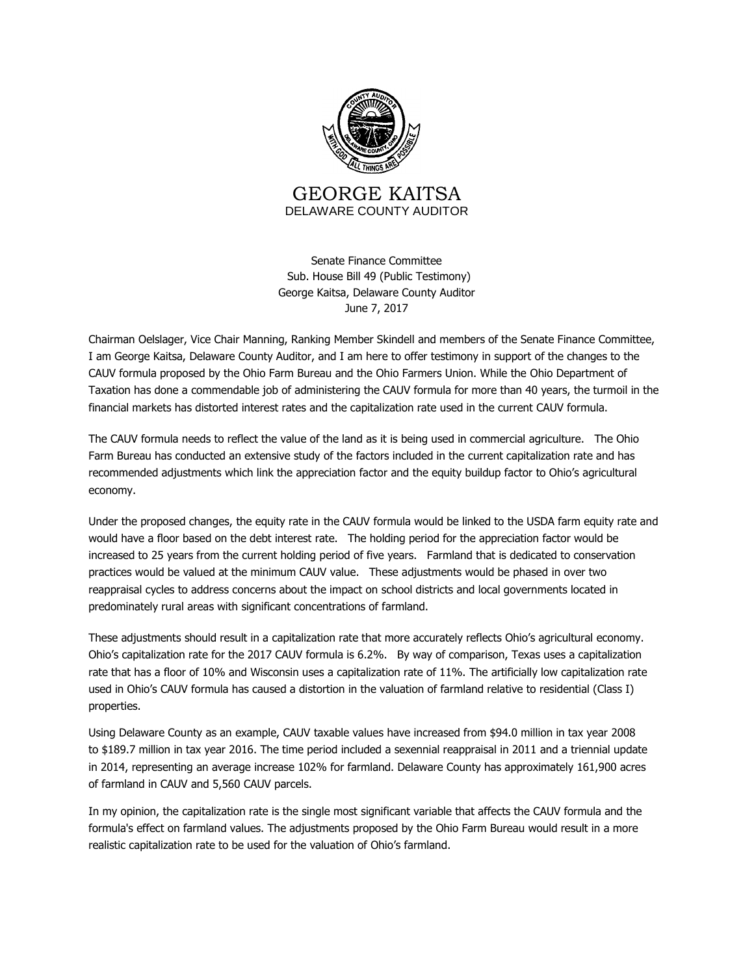

Senate Finance Committee Sub. House Bill 49 (Public Testimony) George Kaitsa, Delaware County Auditor June 7, 2017

Chairman Oelslager, Vice Chair Manning, Ranking Member Skindell and members of the Senate Finance Committee, I am George Kaitsa, Delaware County Auditor, and I am here to offer testimony in support of the changes to the CAUV formula proposed by the Ohio Farm Bureau and the Ohio Farmers Union. While the Ohio Department of Taxation has done a commendable job of administering the CAUV formula for more than 40 years, the turmoil in the financial markets has distorted interest rates and the capitalization rate used in the current CAUV formula.

The CAUV formula needs to reflect the value of the land as it is being used in commercial agriculture. The Ohio Farm Bureau has conducted an extensive study of the factors included in the current capitalization rate and has recommended adjustments which link the appreciation factor and the equity buildup factor to Ohio's agricultural economy.

Under the proposed changes, the equity rate in the CAUV formula would be linked to the USDA farm equity rate and would have a floor based on the debt interest rate. The holding period for the appreciation factor would be increased to 25 years from the current holding period of five years. Farmland that is dedicated to conservation practices would be valued at the minimum CAUV value. These adjustments would be phased in over two reappraisal cycles to address concerns about the impact on school districts and local governments located in predominately rural areas with significant concentrations of farmland.

These adjustments should result in a capitalization rate that more accurately reflects Ohio's agricultural economy. Ohio's capitalization rate for the 2017 CAUV formula is 6.2%. By way of comparison, Texas uses a capitalization rate that has a floor of 10% and Wisconsin uses a capitalization rate of 11%. The artificially low capitalization rate used in Ohio's CAUV formula has caused a distortion in the valuation of farmland relative to residential (Class I) properties.

Using Delaware County as an example, CAUV taxable values have increased from \$94.0 million in tax year 2008 to \$189.7 million in tax year 2016. The time period included a sexennial reappraisal in 2011 and a triennial update in 2014, representing an average increase 102% for farmland. Delaware County has approximately 161,900 acres of farmland in CAUV and 5,560 CAUV parcels.

In my opinion, the capitalization rate is the single most significant variable that affects the CAUV formula and the formula's effect on farmland values. The adjustments proposed by the Ohio Farm Bureau would result in a more realistic capitalization rate to be used for the valuation of Ohio's farmland.